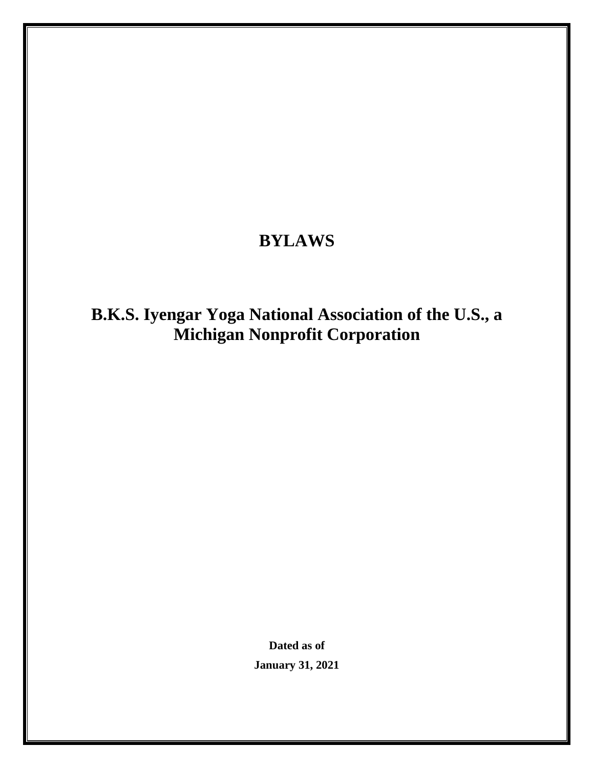## **BYLAWS**

# **B.K.S. Iyengar Yoga National Association of the U.S., a Michigan Nonprofit Corporation**

**Dated as of January 31, 2021**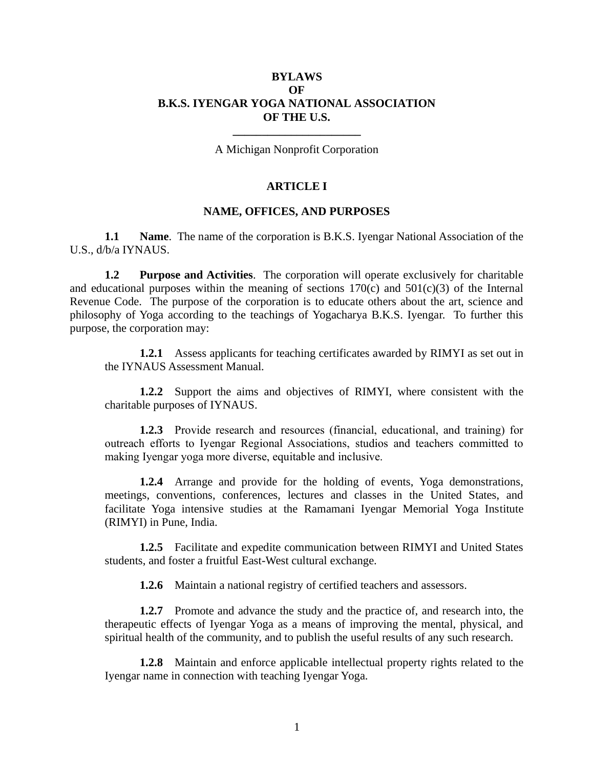## **BYLAWS OF B.K.S. IYENGAR YOGA NATIONAL ASSOCIATION OF THE U.S.**

**\_\_\_\_\_\_\_\_\_\_\_\_\_\_\_\_\_\_\_\_\_\_** A Michigan Nonprofit Corporation

#### **ARTICLE I**

#### **NAME, OFFICES, AND PURPOSES**

**1.1 Name**. The name of the corporation is B.K.S. Iyengar National Association of the U.S., d/b/a IYNAUS.

**1.2 Purpose and Activities**. The corporation will operate exclusively for charitable and educational purposes within the meaning of sections  $170(c)$  and  $501(c)(3)$  of the Internal Revenue Code. The purpose of the corporation is to educate others about the art, science and philosophy of Yoga according to the teachings of Yogacharya B.K.S. Iyengar. To further this purpose, the corporation may:

**1.2.1** Assess applicants for teaching certificates awarded by RIMYI as set out in the IYNAUS Assessment Manual.

**1.2.2** Support the aims and objectives of RIMYI, where consistent with the charitable purposes of IYNAUS.

**1.2.3** Provide research and resources (financial, educational, and training) for outreach efforts to Iyengar Regional Associations, studios and teachers committed to making Iyengar yoga more diverse, equitable and inclusive.

**1.2.4** Arrange and provide for the holding of events, Yoga demonstrations, meetings, conventions, conferences, lectures and classes in the United States, and facilitate Yoga intensive studies at the Ramamani Iyengar Memorial Yoga Institute (RIMYI) in Pune, India.

**1.2.5** Facilitate and expedite communication between RIMYI and United States students, and foster a fruitful East-West cultural exchange.

**1.2.6** Maintain a national registry of certified teachers and assessors.

**1.2.7** Promote and advance the study and the practice of, and research into, the therapeutic effects of Iyengar Yoga as a means of improving the mental, physical, and spiritual health of the community, and to publish the useful results of any such research.

**1.2.8** Maintain and enforce applicable intellectual property rights related to the Iyengar name in connection with teaching Iyengar Yoga.

1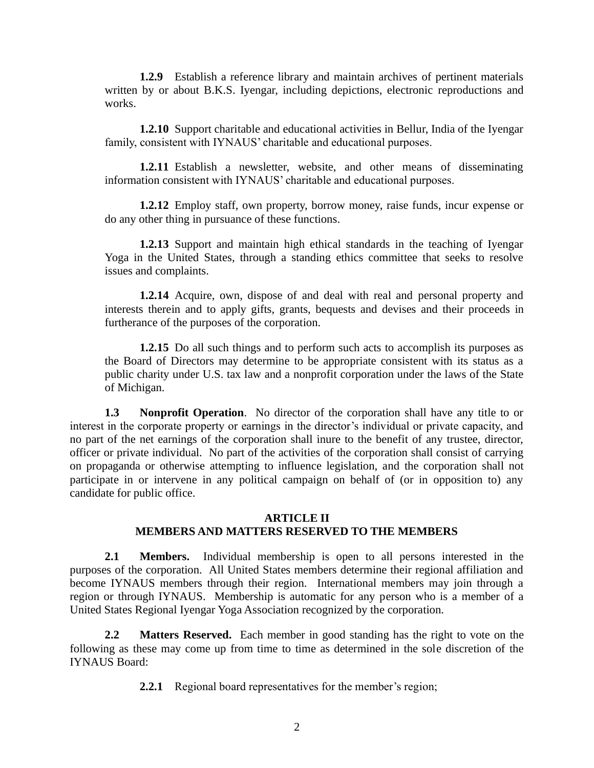**1.2.9** Establish a reference library and maintain archives of pertinent materials written by or about B.K.S. Iyengar, including depictions, electronic reproductions and works.

**1.2.10** Support charitable and educational activities in Bellur, India of the Iyengar family, consistent with IYNAUS' charitable and educational purposes.

**1.2.11** Establish a newsletter, website, and other means of disseminating information consistent with IYNAUS' charitable and educational purposes.

**1.2.12** Employ staff, own property, borrow money, raise funds, incur expense or do any other thing in pursuance of these functions.

**1.2.13** Support and maintain high ethical standards in the teaching of Iyengar Yoga in the United States, through a standing ethics committee that seeks to resolve issues and complaints.

**1.2.14** Acquire, own, dispose of and deal with real and personal property and interests therein and to apply gifts, grants, bequests and devises and their proceeds in furtherance of the purposes of the corporation.

**1.2.15** Do all such things and to perform such acts to accomplish its purposes as the Board of Directors may determine to be appropriate consistent with its status as a public charity under U.S. tax law and a nonprofit corporation under the laws of the State of Michigan.

**1.3 Nonprofit Operation**. No director of the corporation shall have any title to or interest in the corporate property or earnings in the director's individual or private capacity, and no part of the net earnings of the corporation shall inure to the benefit of any trustee, director, officer or private individual. No part of the activities of the corporation shall consist of carrying on propaganda or otherwise attempting to influence legislation, and the corporation shall not participate in or intervene in any political campaign on behalf of (or in opposition to) any candidate for public office.

## **ARTICLE II MEMBERS AND MATTERS RESERVED TO THE MEMBERS**

**2.1 Members.** Individual membership is open to all persons interested in the purposes of the corporation. All United States members determine their regional affiliation and become IYNAUS members through their region. International members may join through a region or through IYNAUS. Membership is automatic for any person who is a member of a United States Regional Iyengar Yoga Association recognized by the corporation.

**2.2 Matters Reserved.** Each member in good standing has the right to vote on the following as these may come up from time to time as determined in the sole discretion of the IYNAUS Board:

**2.2.1** Regional board representatives for the member's region;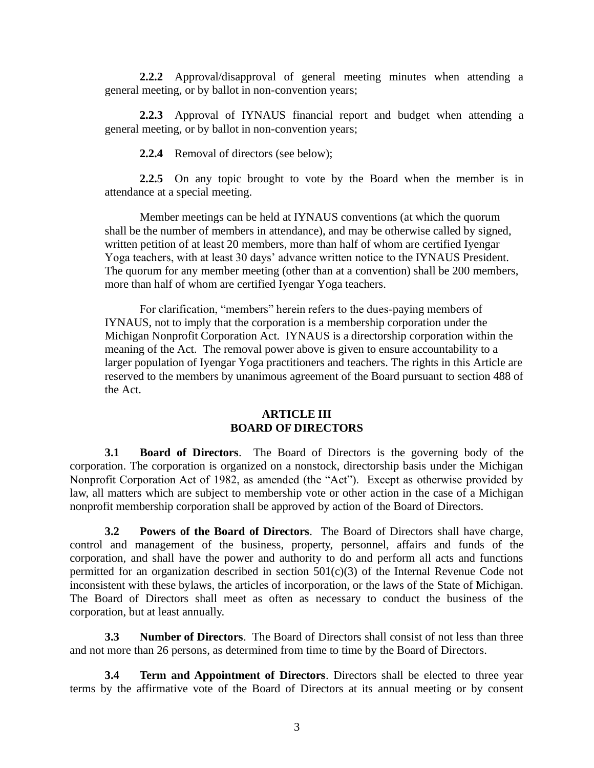**2.2.2** Approval/disapproval of general meeting minutes when attending a general meeting, or by ballot in non-convention years;

**2.2.3** Approval of IYNAUS financial report and budget when attending a general meeting, or by ballot in non-convention years;

**2.2.4** Removal of directors (see below);

**2.2.5** On any topic brought to vote by the Board when the member is in attendance at a special meeting.

Member meetings can be held at IYNAUS conventions (at which the quorum shall be the number of members in attendance), and may be otherwise called by signed, written petition of at least 20 members, more than half of whom are certified Iyengar Yoga teachers, with at least 30 days' advance written notice to the IYNAUS President. The quorum for any member meeting (other than at a convention) shall be 200 members, more than half of whom are certified Iyengar Yoga teachers.

For clarification, "members" herein refers to the dues-paying members of IYNAUS, not to imply that the corporation is a membership corporation under the Michigan Nonprofit Corporation Act. IYNAUS is a directorship corporation within the meaning of the Act. The removal power above is given to ensure accountability to a larger population of Iyengar Yoga practitioners and teachers. The rights in this Article are reserved to the members by unanimous agreement of the Board pursuant to section 488 of the Act.

## **ARTICLE III BOARD OF DIRECTORS**

**3.1 Board of Directors**. The Board of Directors is the governing body of the corporation. The corporation is organized on a nonstock, directorship basis under the Michigan Nonprofit Corporation Act of 1982, as amended (the "Act"). Except as otherwise provided by law, all matters which are subject to membership vote or other action in the case of a Michigan nonprofit membership corporation shall be approved by action of the Board of Directors.

**3.2 Powers of the Board of Directors**. The Board of Directors shall have charge, control and management of the business, property, personnel, affairs and funds of the corporation, and shall have the power and authority to do and perform all acts and functions permitted for an organization described in section  $501(c)(3)$  of the Internal Revenue Code not inconsistent with these bylaws, the articles of incorporation, or the laws of the State of Michigan. The Board of Directors shall meet as often as necessary to conduct the business of the corporation, but at least annually.

**3.3 Number of Directors**. The Board of Directors shall consist of not less than three and not more than 26 persons, as determined from time to time by the Board of Directors.

**3.4 Term and Appointment of Directors**. Directors shall be elected to three year terms by the affirmative vote of the Board of Directors at its annual meeting or by consent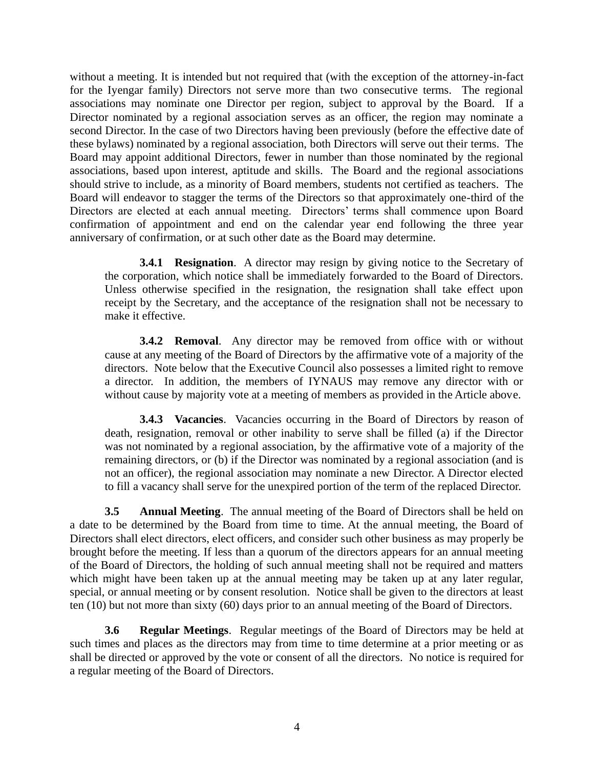without a meeting. It is intended but not required that (with the exception of the attorney-in-fact for the Iyengar family) Directors not serve more than two consecutive terms. The regional associations may nominate one Director per region, subject to approval by the Board. If a Director nominated by a regional association serves as an officer, the region may nominate a second Director. In the case of two Directors having been previously (before the effective date of these bylaws) nominated by a regional association, both Directors will serve out their terms. The Board may appoint additional Directors, fewer in number than those nominated by the regional associations, based upon interest, aptitude and skills. The Board and the regional associations should strive to include, as a minority of Board members, students not certified as teachers. The Board will endeavor to stagger the terms of the Directors so that approximately one-third of the Directors are elected at each annual meeting. Directors' terms shall commence upon Board confirmation of appointment and end on the calendar year end following the three year anniversary of confirmation, or at such other date as the Board may determine.

**3.4.1 Resignation**. A director may resign by giving notice to the Secretary of the corporation, which notice shall be immediately forwarded to the Board of Directors. Unless otherwise specified in the resignation, the resignation shall take effect upon receipt by the Secretary, and the acceptance of the resignation shall not be necessary to make it effective.

**3.4.2 Removal**. Any director may be removed from office with or without cause at any meeting of the Board of Directors by the affirmative vote of a majority of the directors. Note below that the Executive Council also possesses a limited right to remove a director. In addition, the members of IYNAUS may remove any director with or without cause by majority vote at a meeting of members as provided in the Article above.

**3.4.3 Vacancies**. Vacancies occurring in the Board of Directors by reason of death, resignation, removal or other inability to serve shall be filled (a) if the Director was not nominated by a regional association, by the affirmative vote of a majority of the remaining directors, or (b) if the Director was nominated by a regional association (and is not an officer), the regional association may nominate a new Director. A Director elected to fill a vacancy shall serve for the unexpired portion of the term of the replaced Director.

**3.5 Annual Meeting**. The annual meeting of the Board of Directors shall be held on a date to be determined by the Board from time to time. At the annual meeting, the Board of Directors shall elect directors, elect officers, and consider such other business as may properly be brought before the meeting. If less than a quorum of the directors appears for an annual meeting of the Board of Directors, the holding of such annual meeting shall not be required and matters which might have been taken up at the annual meeting may be taken up at any later regular, special, or annual meeting or by consent resolution. Notice shall be given to the directors at least ten (10) but not more than sixty (60) days prior to an annual meeting of the Board of Directors.

**3.6 Regular Meetings**. Regular meetings of the Board of Directors may be held at such times and places as the directors may from time to time determine at a prior meeting or as shall be directed or approved by the vote or consent of all the directors. No notice is required for a regular meeting of the Board of Directors.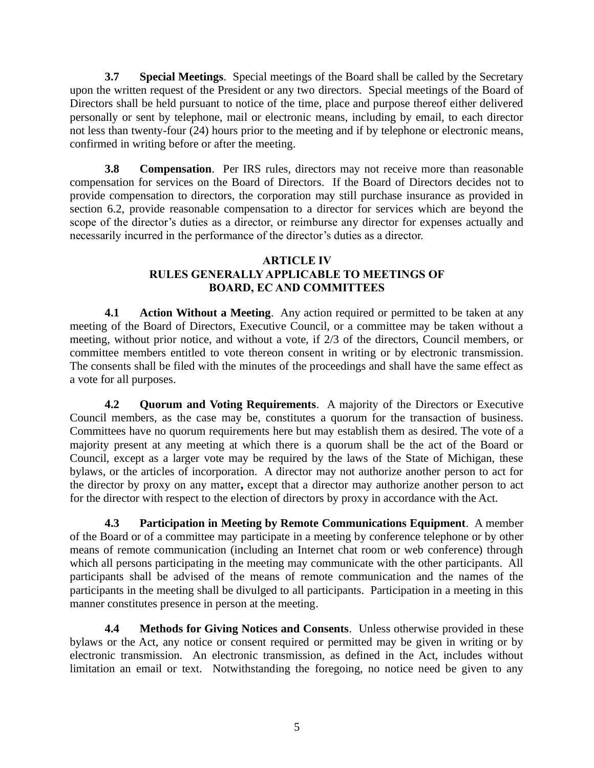**3.7 Special Meetings**. Special meetings of the Board shall be called by the Secretary upon the written request of the President or any two directors. Special meetings of the Board of Directors shall be held pursuant to notice of the time, place and purpose thereof either delivered personally or sent by telephone, mail or electronic means, including by email, to each director not less than twenty-four (24) hours prior to the meeting and if by telephone or electronic means, confirmed in writing before or after the meeting.

**3.8 Compensation**. Per IRS rules, directors may not receive more than reasonable compensation for services on the Board of Directors. If the Board of Directors decides not to provide compensation to directors, the corporation may still purchase insurance as provided in section 6.2, provide reasonable compensation to a director for services which are beyond the scope of the director's duties as a director, or reimburse any director for expenses actually and necessarily incurred in the performance of the director's duties as a director.

## **ARTICLE IV RULES GENERALLY APPLICABLE TO MEETINGS OF BOARD, EC AND COMMITTEES**

**4.1 Action Without a Meeting**. Any action required or permitted to be taken at any meeting of the Board of Directors, Executive Council, or a committee may be taken without a meeting, without prior notice, and without a vote, if 2/3 of the directors, Council members, or committee members entitled to vote thereon consent in writing or by electronic transmission. The consents shall be filed with the minutes of the proceedings and shall have the same effect as a vote for all purposes.

**4.2 Quorum and Voting Requirements**. A majority of the Directors or Executive Council members, as the case may be, constitutes a quorum for the transaction of business. Committees have no quorum requirements here but may establish them as desired. The vote of a majority present at any meeting at which there is a quorum shall be the act of the Board or Council, except as a larger vote may be required by the laws of the State of Michigan, these bylaws, or the articles of incorporation. A director may not authorize another person to act for the director by proxy on any matter**,** except that a director may authorize another person to act for the director with respect to the election of directors by proxy in accordance with the Act.

**4.3 Participation in Meeting by Remote Communications Equipment**. A member of the Board or of a committee may participate in a meeting by conference telephone or by other means of remote communication (including an Internet chat room or web conference) through which all persons participating in the meeting may communicate with the other participants. All participants shall be advised of the means of remote communication and the names of the participants in the meeting shall be divulged to all participants. Participation in a meeting in this manner constitutes presence in person at the meeting.

**4.4 Methods for Giving Notices and Consents**. Unless otherwise provided in these bylaws or the Act, any notice or consent required or permitted may be given in writing or by electronic transmission. An electronic transmission, as defined in the Act, includes without limitation an email or text. Notwithstanding the foregoing, no notice need be given to any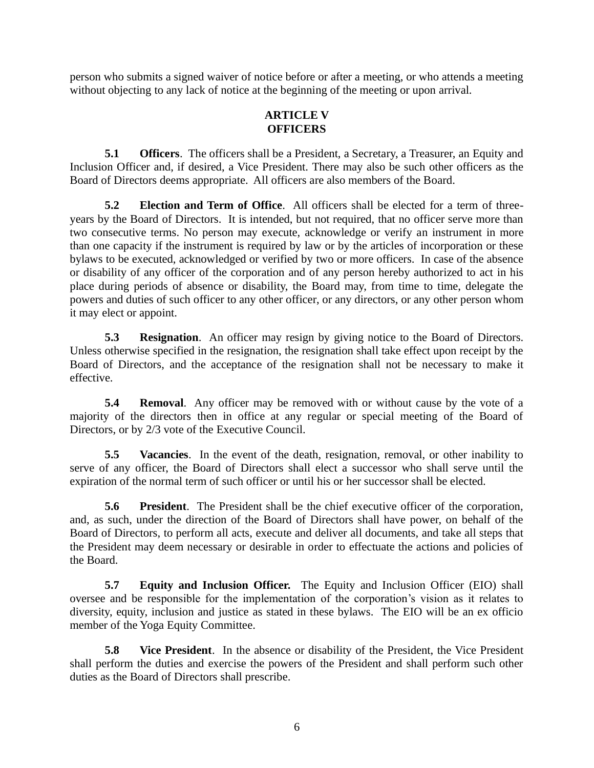person who submits a signed waiver of notice before or after a meeting, or who attends a meeting without objecting to any lack of notice at the beginning of the meeting or upon arrival.

## **ARTICLE V OFFICERS**

**5.1 Officers**. The officers shall be a President, a Secretary, a Treasurer, an Equity and Inclusion Officer and, if desired, a Vice President. There may also be such other officers as the Board of Directors deems appropriate. All officers are also members of the Board.

**5.2 Election and Term of Office**. All officers shall be elected for a term of threeyears by the Board of Directors. It is intended, but not required, that no officer serve more than two consecutive terms. No person may execute, acknowledge or verify an instrument in more than one capacity if the instrument is required by law or by the articles of incorporation or these bylaws to be executed, acknowledged or verified by two or more officers. In case of the absence or disability of any officer of the corporation and of any person hereby authorized to act in his place during periods of absence or disability, the Board may, from time to time, delegate the powers and duties of such officer to any other officer, or any directors, or any other person whom it may elect or appoint.

**5.3 Resignation**. An officer may resign by giving notice to the Board of Directors. Unless otherwise specified in the resignation, the resignation shall take effect upon receipt by the Board of Directors, and the acceptance of the resignation shall not be necessary to make it effective.

**5.4 Removal**. Any officer may be removed with or without cause by the vote of a majority of the directors then in office at any regular or special meeting of the Board of Directors, or by 2/3 vote of the Executive Council.

**5.5 Vacancies**. In the event of the death, resignation, removal, or other inability to serve of any officer, the Board of Directors shall elect a successor who shall serve until the expiration of the normal term of such officer or until his or her successor shall be elected.

**5.6 President**. The President shall be the chief executive officer of the corporation, and, as such, under the direction of the Board of Directors shall have power, on behalf of the Board of Directors, to perform all acts, execute and deliver all documents, and take all steps that the President may deem necessary or desirable in order to effectuate the actions and policies of the Board.

**5.7 Equity and Inclusion Officer.** The Equity and Inclusion Officer (EIO) shall oversee and be responsible for the implementation of the corporation's vision as it relates to diversity, equity, inclusion and justice as stated in these bylaws. The EIO will be an ex officio member of the Yoga Equity Committee.

**5.8 Vice President**. In the absence or disability of the President, the Vice President shall perform the duties and exercise the powers of the President and shall perform such other duties as the Board of Directors shall prescribe.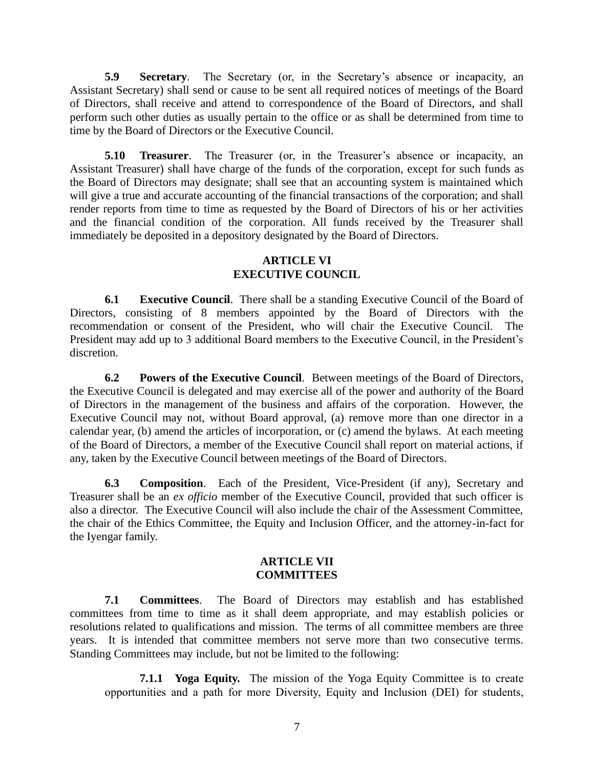**5.9 Secretary**. The Secretary (or, in the Secretary's absence or incapacity, an Assistant Secretary) shall send or cause to be sent all required notices of meetings of the Board of Directors, shall receive and attend to correspondence of the Board of Directors, and shall perform such other duties as usually pertain to the office or as shall be determined from time to time by the Board of Directors or the Executive Council.

**5.10 Treasurer**. The Treasurer (or, in the Treasurer's absence or incapacity, an Assistant Treasurer) shall have charge of the funds of the corporation, except for such funds as the Board of Directors may designate; shall see that an accounting system is maintained which will give a true and accurate accounting of the financial transactions of the corporation; and shall render reports from time to time as requested by the Board of Directors of his or her activities and the financial condition of the corporation. All funds received by the Treasurer shall immediately be deposited in a depository designated by the Board of Directors.

## **ARTICLE VI EXECUTIVE COUNCIL**

**6.1 Executive Council**. There shall be a standing Executive Council of the Board of Directors, consisting of 8 members appointed by the Board of Directors with the recommendation or consent of the President, who will chair the Executive Council. The President may add up to 3 additional Board members to the Executive Council, in the President's discretion.

**6.2 Powers of the Executive Council**. Between meetings of the Board of Directors, the Executive Council is delegated and may exercise all of the power and authority of the Board of Directors in the management of the business and affairs of the corporation. However, the Executive Council may not, without Board approval, (a) remove more than one director in a calendar year, (b) amend the articles of incorporation, or (c) amend the bylaws. At each meeting of the Board of Directors, a member of the Executive Council shall report on material actions, if any, taken by the Executive Council between meetings of the Board of Directors.

**6.3 Composition**. Each of the President, Vice-President (if any), Secretary and Treasurer shall be an *ex officio* member of the Executive Council, provided that such officer is also a director. The Executive Council will also include the chair of the Assessment Committee, the chair of the Ethics Committee, the Equity and Inclusion Officer, and the attorney-in-fact for the Iyengar family.

#### **ARTICLE VII COMMITTEES**

**7.1 Committees**. The Board of Directors may establish and has established committees from time to time as it shall deem appropriate, and may establish policies or resolutions related to qualifications and mission. The terms of all committee members are three years. It is intended that committee members not serve more than two consecutive terms. Standing Committees may include, but not be limited to the following:

**7.1.1 Yoga Equity.** The mission of the Yoga Equity Committee is to create opportunities and a path for more Diversity, Equity and Inclusion (DEI) for students,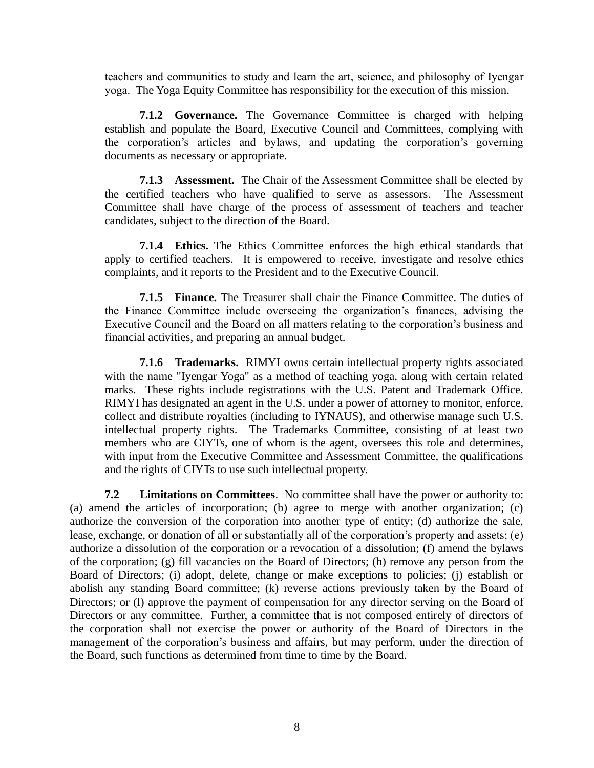teachers and communities to study and learn the art, science, and philosophy of Iyengar yoga. The Yoga Equity Committee has responsibility for the execution of this mission.

**7.1.2 Governance.** The Governance Committee is charged with helping establish and populate the Board, Executive Council and Committees, complying with the corporation's articles and bylaws, and updating the corporation's governing documents as necessary or appropriate.

**7.1.3 Assessment.** The Chair of the Assessment Committee shall be elected by the certified teachers who have qualified to serve as assessors. The Assessment Committee shall have charge of the process of assessment of teachers and teacher candidates, subject to the direction of the Board.

**7.1.4 Ethics.** The Ethics Committee enforces the high ethical standards that apply to certified teachers. It is empowered to receive, investigate and resolve ethics complaints, and it reports to the President and to the Executive Council.

**7.1.5 Finance.** The Treasurer shall chair the Finance Committee. The duties of the Finance Committee include overseeing the organization's finances, advising the Executive Council and the Board on all matters relating to the corporation's business and financial activities, and preparing an annual budget.

**7.1.6 Trademarks.** RIMYI owns certain intellectual property rights associated with the name "Iyengar Yoga" as a method of teaching yoga, along with certain related marks. These rights include registrations with the U.S. Patent and Trademark Office. RIMYI has designated an agent in the U.S. under a power of attorney to monitor, enforce, collect and distribute royalties (including to IYNAUS), and otherwise manage such U.S. intellectual property rights. The Trademarks Committee, consisting of at least two members who are CIYTs, one of whom is the agent, oversees this role and determines, with input from the Executive Committee and Assessment Committee, the qualifications and the rights of CIYTs to use such intellectual property.

**7.2 Limitations on Committees**. No committee shall have the power or authority to: (a) amend the articles of incorporation; (b) agree to merge with another organization; (c) authorize the conversion of the corporation into another type of entity; (d) authorize the sale, lease, exchange, or donation of all or substantially all of the corporation's property and assets; (e) authorize a dissolution of the corporation or a revocation of a dissolution; (f) amend the bylaws of the corporation; (g) fill vacancies on the Board of Directors; (h) remove any person from the Board of Directors; (i) adopt, delete, change or make exceptions to policies; (j) establish or abolish any standing Board committee; (k) reverse actions previously taken by the Board of Directors; or (l) approve the payment of compensation for any director serving on the Board of Directors or any committee. Further, a committee that is not composed entirely of directors of the corporation shall not exercise the power or authority of the Board of Directors in the management of the corporation's business and affairs, but may perform, under the direction of the Board, such functions as determined from time to time by the Board.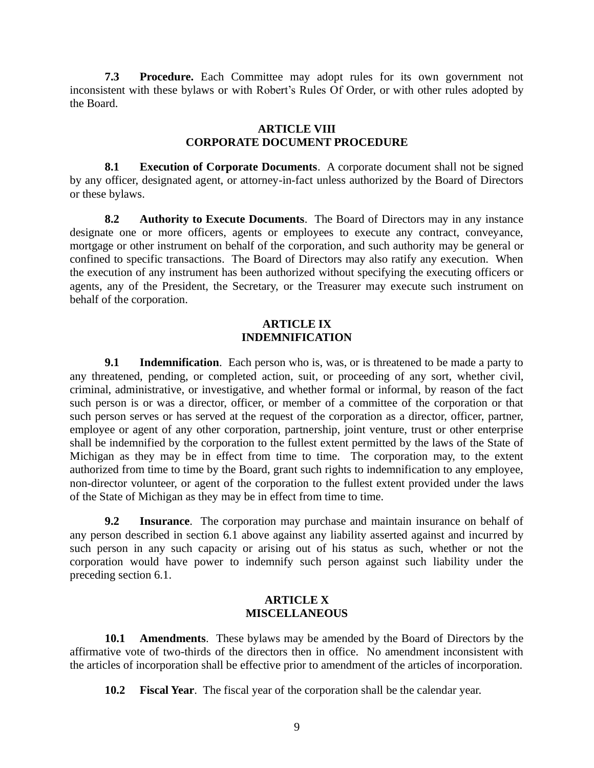**7.3 Procedure.** Each Committee may adopt rules for its own government not inconsistent with these bylaws or with Robert's Rules Of Order, or with other rules adopted by the Board.

## **ARTICLE VIII CORPORATE DOCUMENT PROCEDURE**

**8.1 Execution of Corporate Documents**. A corporate document shall not be signed by any officer, designated agent, or attorney-in-fact unless authorized by the Board of Directors or these bylaws.

**8.2 Authority to Execute Documents**. The Board of Directors may in any instance designate one or more officers, agents or employees to execute any contract, conveyance, mortgage or other instrument on behalf of the corporation, and such authority may be general or confined to specific transactions. The Board of Directors may also ratify any execution. When the execution of any instrument has been authorized without specifying the executing officers or agents, any of the President, the Secretary, or the Treasurer may execute such instrument on behalf of the corporation.

## **ARTICLE IX INDEMNIFICATION**

**9.1 Indemnification**. Each person who is, was, or is threatened to be made a party to any threatened, pending, or completed action, suit, or proceeding of any sort, whether civil, criminal, administrative, or investigative, and whether formal or informal, by reason of the fact such person is or was a director, officer, or member of a committee of the corporation or that such person serves or has served at the request of the corporation as a director, officer, partner, employee or agent of any other corporation, partnership, joint venture, trust or other enterprise shall be indemnified by the corporation to the fullest extent permitted by the laws of the State of Michigan as they may be in effect from time to time. The corporation may, to the extent authorized from time to time by the Board, grant such rights to indemnification to any employee, non-director volunteer, or agent of the corporation to the fullest extent provided under the laws of the State of Michigan as they may be in effect from time to time.

**9.2 Insurance**. The corporation may purchase and maintain insurance on behalf of any person described in section 6.1 above against any liability asserted against and incurred by such person in any such capacity or arising out of his status as such, whether or not the corporation would have power to indemnify such person against such liability under the preceding section 6.1.

## **ARTICLE X MISCELLANEOUS**

**10.1 Amendments**. These bylaws may be amended by the Board of Directors by the affirmative vote of two-thirds of the directors then in office. No amendment inconsistent with the articles of incorporation shall be effective prior to amendment of the articles of incorporation.

**10.2 Fiscal Year**. The fiscal year of the corporation shall be the calendar year.